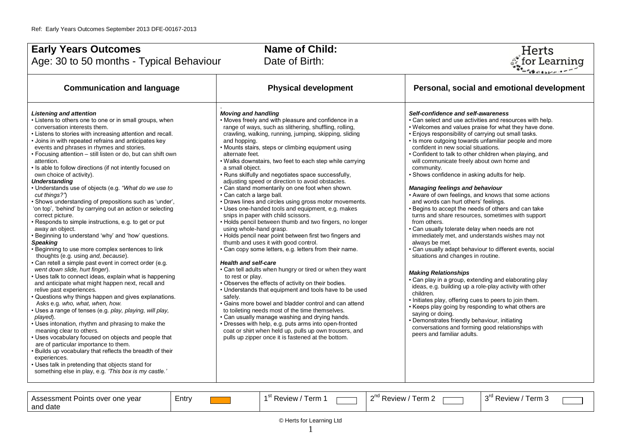| <b>Early Years Outcomes</b><br>Age: 30 to 50 months - Typical Behaviour                                                                                                                                                                                                                                                                                                                                                                                                                                                                                                                                                                                                                                                                                                                                                                                                                                                                                                                                                                                                                                                                                                                                                                                                                                                                                                                                                                                                                                                                                                                                                                                                                                                                                         | <b>Name of Child:</b><br>Date of Birth:                                                                                                                                                                                                                                                                                                                                                                                                                                                                                                                                                                                                                                                                                                                                                                                                                                                                                                                                                                                                                                                                                                                                                                                                                                                                                                                                                                                                                                                                                                                              | Herts<br><b>ీ</b> for Learning                                                                                                                                                                                                                                                                                                                                                                                                                                                                                                                                                                                                                                                                                                                                                                                                                                                                                                                                                                                                                                                                                                                                                                                                                                                                                                                                                                                                    |
|-----------------------------------------------------------------------------------------------------------------------------------------------------------------------------------------------------------------------------------------------------------------------------------------------------------------------------------------------------------------------------------------------------------------------------------------------------------------------------------------------------------------------------------------------------------------------------------------------------------------------------------------------------------------------------------------------------------------------------------------------------------------------------------------------------------------------------------------------------------------------------------------------------------------------------------------------------------------------------------------------------------------------------------------------------------------------------------------------------------------------------------------------------------------------------------------------------------------------------------------------------------------------------------------------------------------------------------------------------------------------------------------------------------------------------------------------------------------------------------------------------------------------------------------------------------------------------------------------------------------------------------------------------------------------------------------------------------------------------------------------------------------|----------------------------------------------------------------------------------------------------------------------------------------------------------------------------------------------------------------------------------------------------------------------------------------------------------------------------------------------------------------------------------------------------------------------------------------------------------------------------------------------------------------------------------------------------------------------------------------------------------------------------------------------------------------------------------------------------------------------------------------------------------------------------------------------------------------------------------------------------------------------------------------------------------------------------------------------------------------------------------------------------------------------------------------------------------------------------------------------------------------------------------------------------------------------------------------------------------------------------------------------------------------------------------------------------------------------------------------------------------------------------------------------------------------------------------------------------------------------------------------------------------------------------------------------------------------------|-----------------------------------------------------------------------------------------------------------------------------------------------------------------------------------------------------------------------------------------------------------------------------------------------------------------------------------------------------------------------------------------------------------------------------------------------------------------------------------------------------------------------------------------------------------------------------------------------------------------------------------------------------------------------------------------------------------------------------------------------------------------------------------------------------------------------------------------------------------------------------------------------------------------------------------------------------------------------------------------------------------------------------------------------------------------------------------------------------------------------------------------------------------------------------------------------------------------------------------------------------------------------------------------------------------------------------------------------------------------------------------------------------------------------------------|
| <b>Communication and language</b>                                                                                                                                                                                                                                                                                                                                                                                                                                                                                                                                                                                                                                                                                                                                                                                                                                                                                                                                                                                                                                                                                                                                                                                                                                                                                                                                                                                                                                                                                                                                                                                                                                                                                                                               | <b>Physical development</b>                                                                                                                                                                                                                                                                                                                                                                                                                                                                                                                                                                                                                                                                                                                                                                                                                                                                                                                                                                                                                                                                                                                                                                                                                                                                                                                                                                                                                                                                                                                                          | Personal, social and emotional development                                                                                                                                                                                                                                                                                                                                                                                                                                                                                                                                                                                                                                                                                                                                                                                                                                                                                                                                                                                                                                                                                                                                                                                                                                                                                                                                                                                        |
| <b>Listening and attention</b><br>• Listens to others one to one or in small groups, when<br>conversation interests them.<br>• Listens to stories with increasing attention and recall.<br>• Joins in with repeated refrains and anticipates key<br>events and phrases in rhymes and stories.<br>• Focusing attention - still listen or do, but can shift own<br>attention.<br>. Is able to follow directions (if not intently focused on<br>own choice of activity).<br><b>Understanding</b><br>• Understands use of objects (e.g. "What do we use to<br>cut things?")<br>· Shows understanding of prepositions such as 'under',<br>'on top', 'behind' by carrying out an action or selecting<br>correct picture.<br>• Responds to simple instructions, e.g. to get or put<br>away an object.<br>• Beginning to understand 'why' and 'how' questions.<br><b>Speaking</b><br>• Beginning to use more complex sentences to link<br>thoughts (e.g. using and, because).<br>. Can retell a simple past event in correct order (e.g.<br>went down slide, hurt finger).<br>• Uses talk to connect ideas, explain what is happening<br>and anticipate what might happen next, recall and<br>relive past experiences.<br>• Questions why things happen and gives explanations.<br>Asks e.g. who, what, when, how.<br>· Uses a range of tenses (e.g. play, playing, will play,<br>played).<br>• Uses intonation, rhythm and phrasing to make the<br>meaning clear to others.<br>• Uses vocabulary focused on objects and people that<br>are of particular importance to them.<br>. Builds up vocabulary that reflects the breadth of their<br>experiences.<br>• Uses talk in pretending that objects stand for<br>something else in play, e.g. 'This box is my castle.' | <b>Moving and handling</b><br>• Moves freely and with pleasure and confidence in a<br>range of ways, such as slithering, shuffling, rolling,<br>crawling, walking, running, jumping, skipping, sliding<br>and hopping.<br>• Mounts stairs, steps or climbing equipment using<br>alternate feet.<br>. Walks downstairs, two feet to each step while carrying<br>a small object.<br>• Runs skilfully and negotiates space successfully,<br>adjusting speed or direction to avoid obstacles.<br>• Can stand momentarily on one foot when shown.<br>• Can catch a large ball.<br>• Draws lines and circles using gross motor movements.<br>• Uses one-handed tools and equipment, e.g. makes<br>snips in paper with child scissors.<br>• Holds pencil between thumb and two fingers, no longer<br>using whole-hand grasp.<br>• Holds pencil near point between first two fingers and<br>thumb and uses it with good control.<br>• Can copy some letters, e.g. letters from their name.<br><b>Health and self-care</b><br>• Can tell adults when hungry or tired or when they want<br>to rest or play.<br>• Observes the effects of activity on their bodies.<br>• Understands that equipment and tools have to be used<br>safely.<br>• Gains more bowel and bladder control and can attend<br>to toileting needs most of the time themselves.<br>• Can usually manage washing and drying hands.<br>· Dresses with help, e.g. puts arms into open-fronted<br>coat or shirt when held up, pulls up own trousers, and<br>pulls up zipper once it is fastened at the bottom. | Self-confidence and self-awareness<br>• Can select and use activities and resources with help.<br>. Welcomes and values praise for what they have done.<br>. Enjoys responsibility of carrying out small tasks.<br>· Is more outgoing towards unfamiliar people and more<br>confident in new social situations.<br>• Confident to talk to other children when playing, and<br>will communicate freely about own home and<br>community.<br>· Shows confidence in asking adults for help.<br><b>Managing feelings and behaviour</b><br>• Aware of own feelings, and knows that some actions<br>and words can hurt others' feelings.<br>• Begins to accept the needs of others and can take<br>turns and share resources, sometimes with support<br>from others.<br>• Can usually tolerate delay when needs are not<br>immediately met, and understands wishes may not<br>always be met.<br>· Can usually adapt behaviour to different events, social<br>situations and changes in routine.<br><b>Making Relationships</b><br>• Can play in a group, extending and elaborating play<br>ideas, e.g. building up a role-play activity with other<br>children.<br>. Initiates play, offering cues to peers to join them.<br>• Keeps play going by responding to what others are<br>saying or doing.<br>• Demonstrates friendly behaviour, initiating<br>conversations and forming good relationships with<br>peers and familiar adults. |

| one year<br>Assessment<br>. פוחור'<br>over<br>and date | _<br>Entry | <b>451</b><br>erm<br>۱۸/۱۵۱۸ | -<br>erm<br>Review | $\sim$ 10 $\sim$<br>PAVIOW<br>l erm 3<br>≺eview |
|--------------------------------------------------------|------------|------------------------------|--------------------|-------------------------------------------------|
|--------------------------------------------------------|------------|------------------------------|--------------------|-------------------------------------------------|